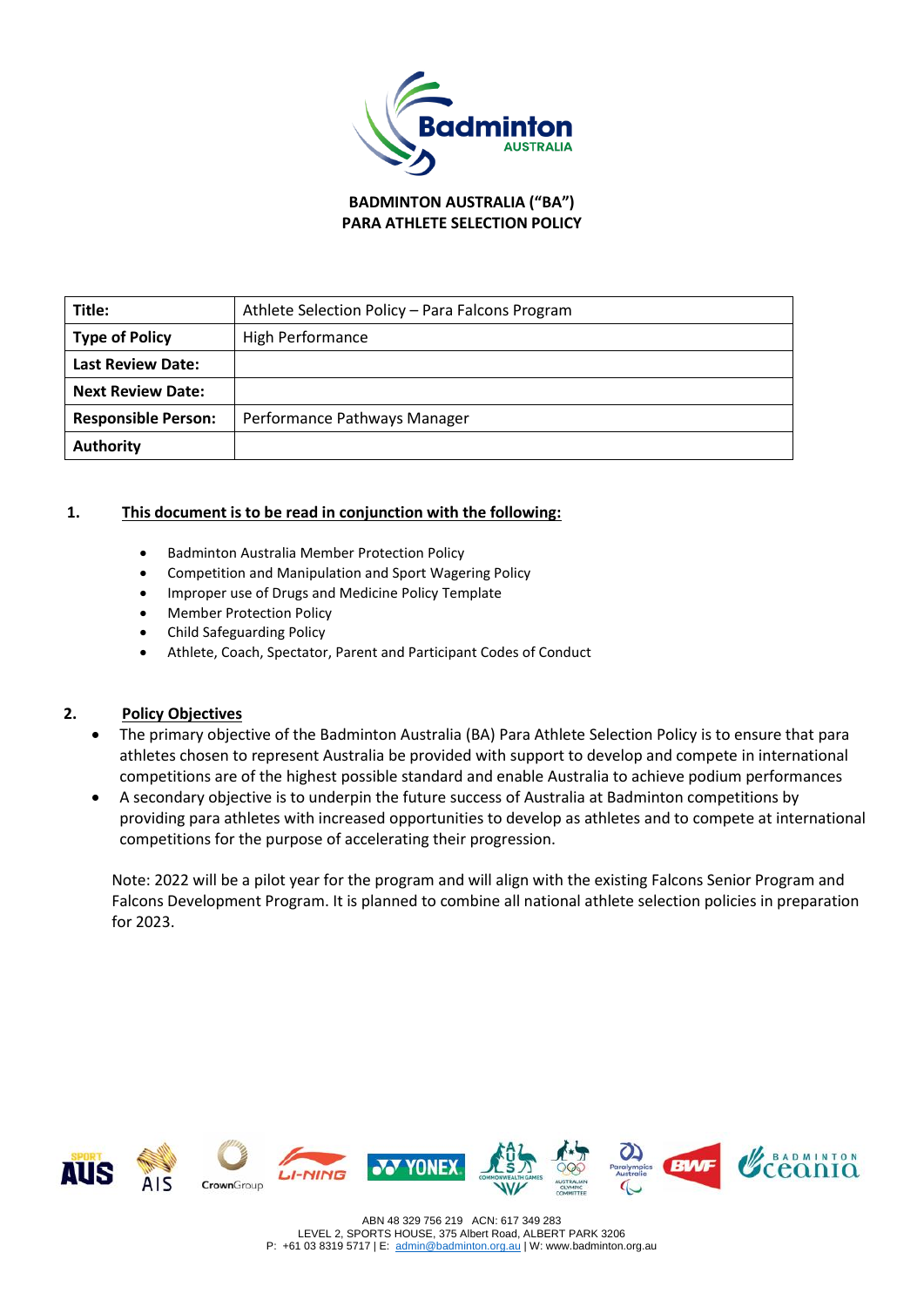

**BADMINTON AUSTRALIA ("BA") PARA ATHLETE SELECTION POLICY**

| Title:                     | Athlete Selection Policy - Para Falcons Program |
|----------------------------|-------------------------------------------------|
| <b>Type of Policy</b>      | <b>High Performance</b>                         |
| <b>Last Review Date:</b>   |                                                 |
| <b>Next Review Date:</b>   |                                                 |
| <b>Responsible Person:</b> | Performance Pathways Manager                    |
| <b>Authority</b>           |                                                 |

### **1. This document is to be read in conjunction with the following:**

- Badminton Australia Member Protection Policy
- Competition and Manipulation and Sport Wagering Policy
- Improper use of Drugs and Medicine Policy Template
- Member Protection Policy
- Child Safeguarding Policy
- Athlete, Coach, Spectator, Parent and Participant Codes of Conduct

## **2. Policy Objectives**

- The primary objective of the Badminton Australia (BA) Para Athlete Selection Policy is to ensure that para athletes chosen to represent Australia be provided with support to develop and compete in international competitions are of the highest possible standard and enable Australia to achieve podium performances
- A secondary objective is to underpin the future success of Australia at Badminton competitions by providing para athletes with increased opportunities to develop as athletes and to compete at international competitions for the purpose of accelerating their progression.

Note: 2022 will be a pilot year for the program and will align with the existing Falcons Senior Program and Falcons Development Program. It is planned to combine all national athlete selection policies in preparation for 2023.

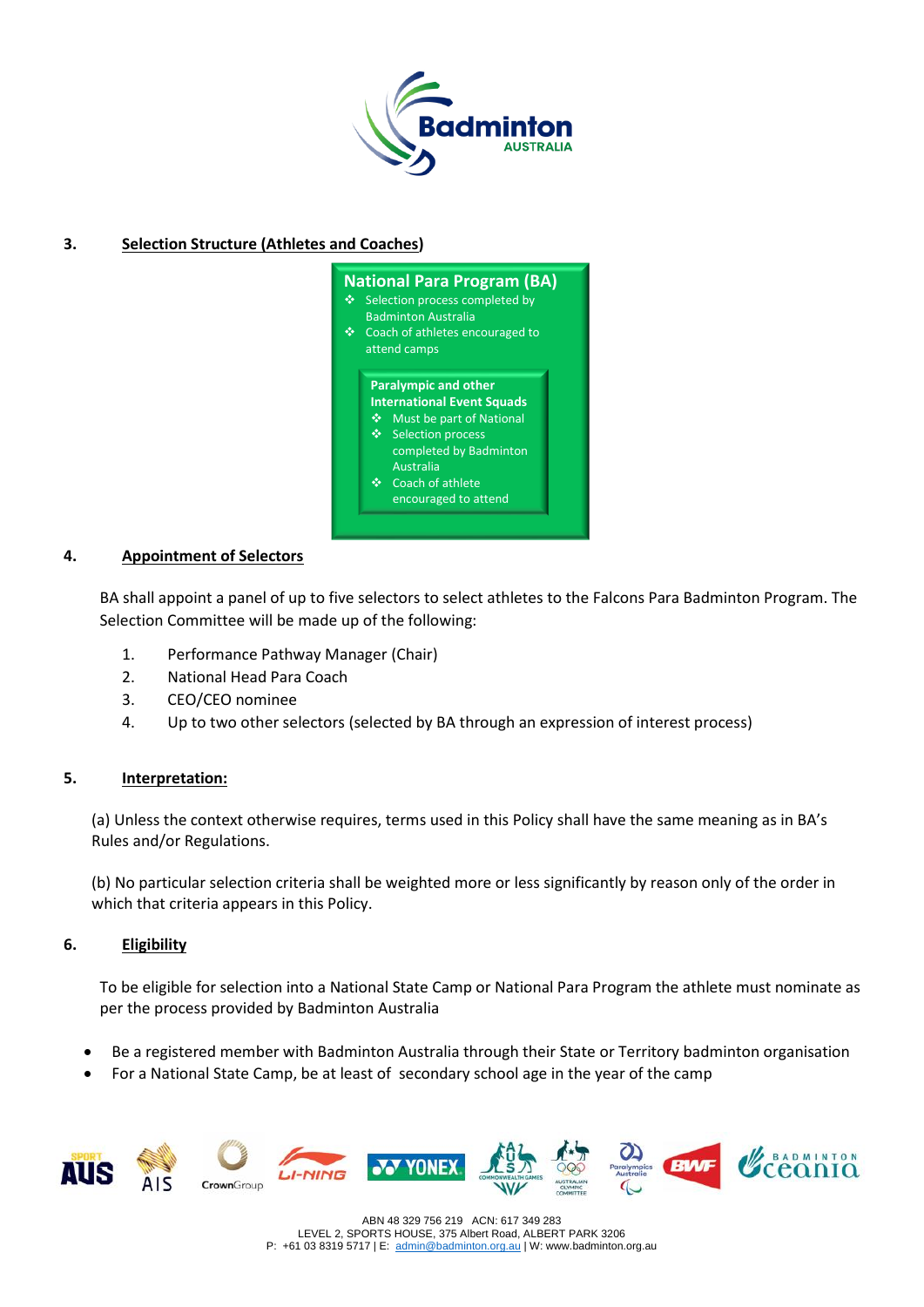

## **3. Selection Structure (Athletes and Coaches)**

| ❖ | <b>National Para Program (BA)</b><br>Selection process completed by<br><b>Badminton Australia</b><br>Coach of athletes encouraged to<br>attend camps |                                                                                                                                                                                                        |  |  |  |
|---|------------------------------------------------------------------------------------------------------------------------------------------------------|--------------------------------------------------------------------------------------------------------------------------------------------------------------------------------------------------------|--|--|--|
|   | ∾<br>❖                                                                                                                                               | <b>Paralympic and other</b><br><b>International Event Squads</b><br>Must be part of National<br>❖ Selection process<br>completed by Badminton<br>Australia<br>Coach of athlete<br>encouraged to attend |  |  |  |

### **4. Appointment of Selectors**

BA shall appoint a panel of up to five selectors to select athletes to the Falcons Para Badminton Program. The Selection Committee will be made up of the following:

- 1. Performance Pathway Manager (Chair)
- 2. National Head Para Coach
- 3. CEO/CEO nominee
- 4. Up to two other selectors (selected by BA through an expression of interest process)

### **5. Interpretation:**

(a) Unless the context otherwise requires, terms used in this Policy shall have the same meaning as in BA's Rules and/or Regulations.

(b) No particular selection criteria shall be weighted more or less significantly by reason only of the order in which that criteria appears in this Policy.

### **6. Eligibility**

To be eligible for selection into a National State Camp or National Para Program the athlete must nominate as per the process provided by Badminton Australia

- Be a registered member with Badminton Australia through their State or Territory badminton organisation
- For a National State Camp, be at least of secondary school age in the year of the camp



ABN 48 329 756 219 ACN: 617 349 283 LEVEL 2, SPORTS HOUSE, 375 Albert Road, ALBERT PARK 3206 P: +61 03 8319 5717 | E: [admin@badminton.org.au](mailto:admin@badminton.org.au) | W: www.badminton.org.au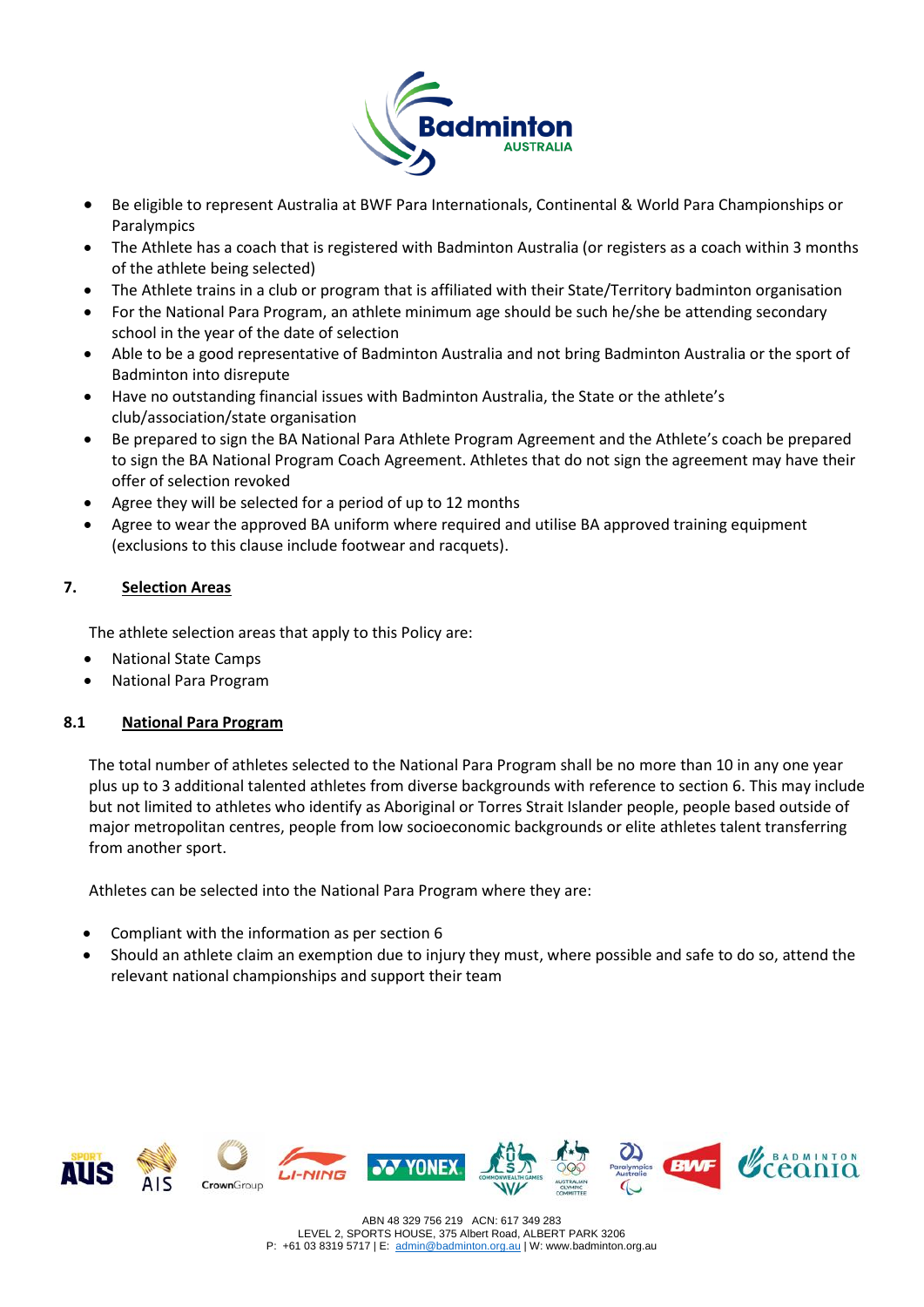

- Be eligible to represent Australia at BWF Para Internationals, Continental & World Para Championships or Paralympics
- The Athlete has a coach that is registered with Badminton Australia (or registers as a coach within 3 months of the athlete being selected)
- The Athlete trains in a club or program that is affiliated with their State/Territory badminton organisation
- For the National Para Program, an athlete minimum age should be such he/she be attending secondary school in the year of the date of selection
- Able to be a good representative of Badminton Australia and not bring Badminton Australia or the sport of Badminton into disrepute
- Have no outstanding financial issues with Badminton Australia, the State or the athlete's club/association/state organisation
- Be prepared to sign the BA National Para Athlete Program Agreement and the Athlete's coach be prepared to sign the BA National Program Coach Agreement. Athletes that do not sign the agreement may have their offer of selection revoked
- Agree they will be selected for a period of up to 12 months
- Agree to wear the approved BA uniform where required and utilise BA approved training equipment (exclusions to this clause include footwear and racquets).

# **7. Selection Areas**

The athlete selection areas that apply to this Policy are:

- National State Camps
- National Para Program

## **8.1 National Para Program**

The total number of athletes selected to the National Para Program shall be no more than 10 in any one year plus up to 3 additional talented athletes from diverse backgrounds with reference to section 6. This may include but not limited to athletes who identify as Aboriginal or Torres Strait Islander people, people based outside of major metropolitan centres, people from low socioeconomic backgrounds or elite athletes talent transferring from another sport.

Athletes can be selected into the National Para Program where they are:

- Compliant with the information as per section 6
- Should an athlete claim an exemption due to injury they must, where possible and safe to do so, attend the relevant national championships and support their team

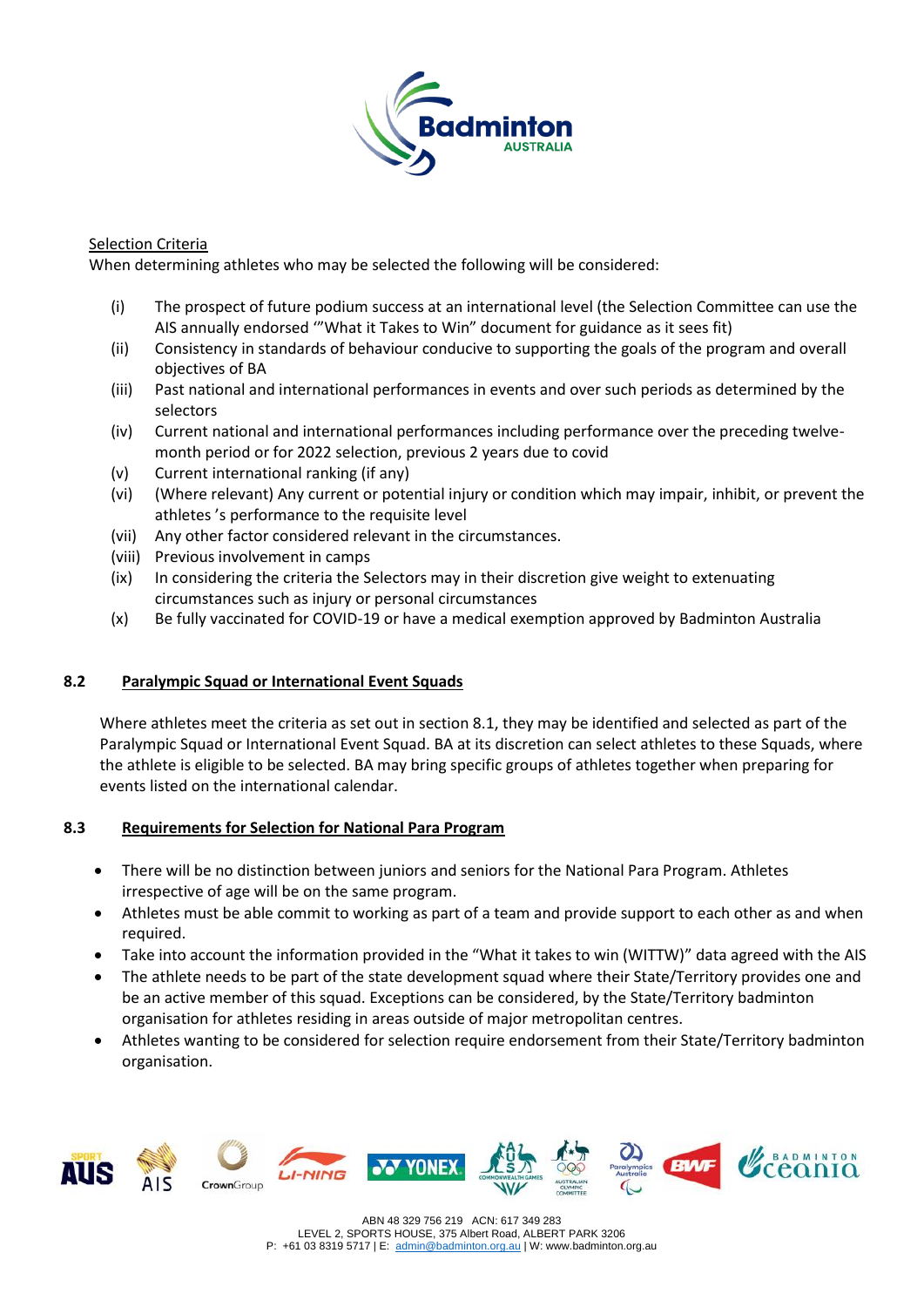

## Selection Criteria

When determining athletes who may be selected the following will be considered:

- (i) The prospect of future podium success at an international level (the Selection Committee can use the AIS annually endorsed '"What it Takes to Win" document for guidance as it sees fit)
- (ii) Consistency in standards of behaviour conducive to supporting the goals of the program and overall objectives of BA
- (iii) Past national and international performances in events and over such periods as determined by the selectors
- (iv) Current national and international performances including performance over the preceding twelvemonth period or for 2022 selection, previous 2 years due to covid
- (v) Current international ranking (if any)
- (vi) (Where relevant) Any current or potential injury or condition which may impair, inhibit, or prevent the athletes 's performance to the requisite level
- (vii) Any other factor considered relevant in the circumstances.
- (viii) Previous involvement in camps
- (ix) In considering the criteria the Selectors may in their discretion give weight to extenuating circumstances such as injury or personal circumstances
- (x) Be fully vaccinated for COVID-19 or have a medical exemption approved by Badminton Australia

### **8.2 Paralympic Squad or International Event Squads**

Where athletes meet the criteria as set out in section 8.1, they may be identified and selected as part of the Paralympic Squad or International Event Squad. BA at its discretion can select athletes to these Squads, where the athlete is eligible to be selected. BA may bring specific groups of athletes together when preparing for events listed on the international calendar.

### **8.3 Requirements for Selection for National Para Program**

- There will be no distinction between juniors and seniors for the National Para Program. Athletes irrespective of age will be on the same program.
- Athletes must be able commit to working as part of a team and provide support to each other as and when required.
- Take into account the information provided in the "What it takes to win (WITTW)" data agreed with the AIS
- The athlete needs to be part of the state development squad where their State/Territory provides one and be an active member of this squad. Exceptions can be considered, by the State/Territory badminton organisation for athletes residing in areas outside of major metropolitan centres.
- Athletes wanting to be considered for selection require endorsement from their State/Territory badminton organisation.







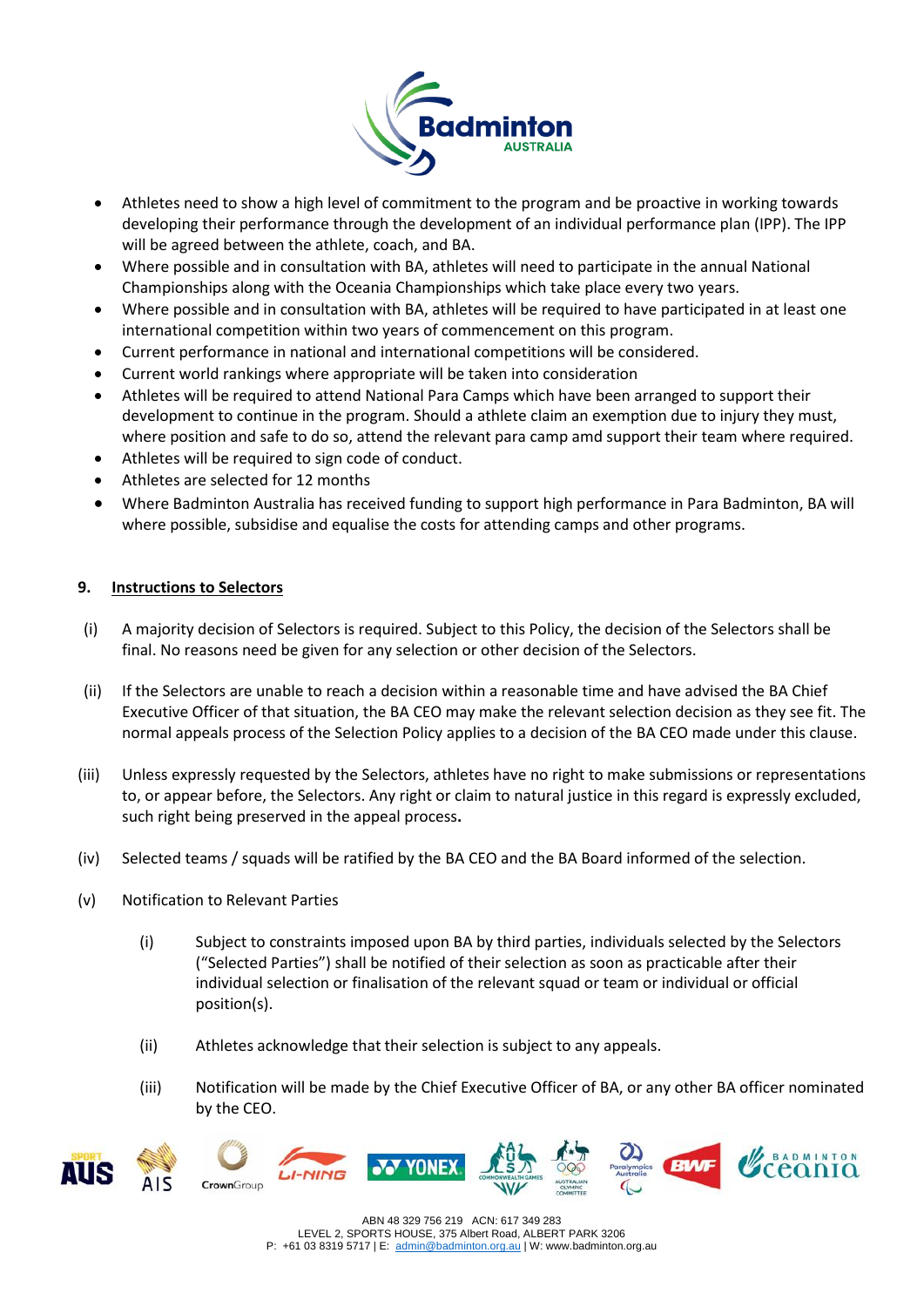

- Athletes need to show a high level of commitment to the program and be proactive in working towards developing their performance through the development of an individual performance plan (IPP). The IPP will be agreed between the athlete, coach, and BA.
- Where possible and in consultation with BA, athletes will need to participate in the annual National Championships along with the Oceania Championships which take place every two years.
- Where possible and in consultation with BA, athletes will be required to have participated in at least one international competition within two years of commencement on this program.
- Current performance in national and international competitions will be considered.
- Current world rankings where appropriate will be taken into consideration
- Athletes will be required to attend National Para Camps which have been arranged to support their development to continue in the program. Should a athlete claim an exemption due to injury they must, where position and safe to do so, attend the relevant para camp amd support their team where required.
- Athletes will be required to sign code of conduct.
- Athletes are selected for 12 months
- Where Badminton Australia has received funding to support high performance in Para Badminton, BA will where possible, subsidise and equalise the costs for attending camps and other programs.

### **9. Instructions to Selectors**

- (i) A majority decision of Selectors is required. Subject to this Policy, the decision of the Selectors shall be final. No reasons need be given for any selection or other decision of the Selectors.
- (ii) If the Selectors are unable to reach a decision within a reasonable time and have advised the BA Chief Executive Officer of that situation, the BA CEO may make the relevant selection decision as they see fit. The normal appeals process of the Selection Policy applies to a decision of the BA CEO made under this clause.
- (iii) Unless expressly requested by the Selectors, athletes have no right to make submissions or representations to, or appear before, the Selectors. Any right or claim to natural justice in this regard is expressly excluded, such right being preserved in the appeal process**.**
- (iv) Selected teams / squads will be ratified by the BA CEO and the BA Board informed of the selection.
- (v) Notification to Relevant Parties
	- (i) Subject to constraints imposed upon BA by third parties, individuals selected by the Selectors ("Selected Parties") shall be notified of their selection as soon as practicable after their individual selection or finalisation of the relevant squad or team or individual or official position(s).
	- (ii) Athletes acknowledge that their selection is subject to any appeals.
	- (iii) Notification will be made by the Chief Executive Officer of BA, or any other BA officer nominated by the CEO.





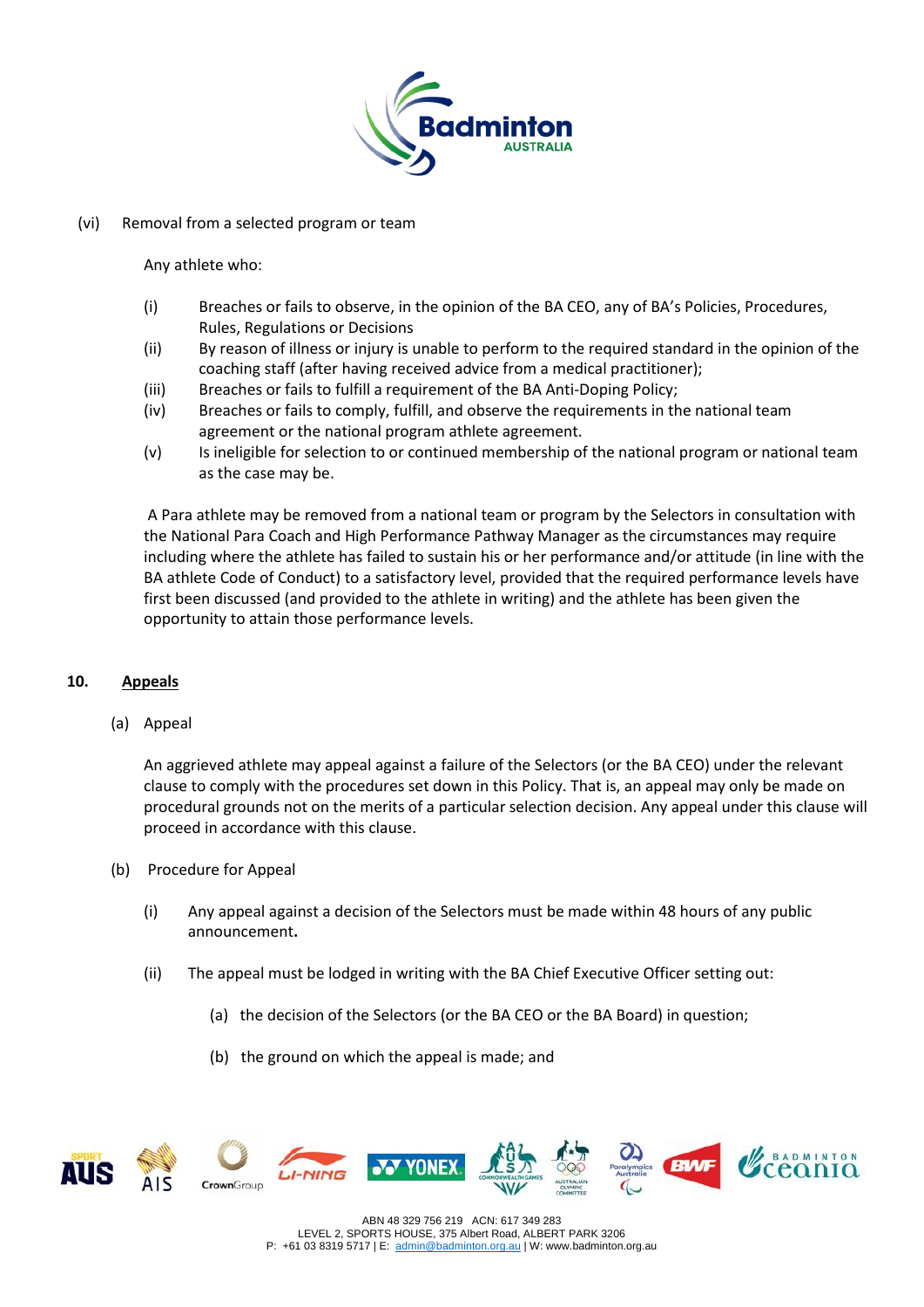

### (vi) Removal from a selected program or team

Any athlete who:

- (i) Breaches or fails to observe, in the opinion of the BA CEO, any of BA's Policies, Procedures, Rules, Regulations or Decisions
- (ii) By reason of illness or injury is unable to perform to the required standard in the opinion of the coaching staff (after having received advice from a medical practitioner);
- (iii) Breaches or fails to fulfill a requirement of the BA Anti-Doping Policy;
- (iv) Breaches or fails to comply, fulfill, and observe the requirements in the national team agreement or the national program athlete agreement.
- (v) Is ineligible for selection to or continued membership of the national program or national team as the case may be.

A Para athlete may be removed from a national team or program by the Selectors in consultation with the National Para Coach and High Performance Pathway Manager as the circumstances may require including where the athlete has failed to sustain his or her performance and/or attitude (in line with the BA athlete Code of Conduct) to a satisfactory level, provided that the required performance levels have first been discussed (and provided to the athlete in writing) and the athlete has been given the opportunity to attain those performance levels.

### **10. Appeals**

(a) Appeal

An aggrieved athlete may appeal against a failure of the Selectors (or the BA CEO) under the relevant clause to comply with the procedures set down in this Policy. That is, an appeal may only be made on procedural grounds not on the merits of a particular selection decision. Any appeal under this clause will proceed in accordance with this clause.

- (b) Procedure for Appeal
	- (i) Any appeal against a decision of the Selectors must be made within 48 hours of any public announcement**.**
	- (ii) The appeal must be lodged in writing with the BA Chief Executive Officer setting out:
		- (a) the decision of the Selectors (or the BA CEO or the BA Board) in question;
		- (b) the ground on which the appeal is made; and



ABN 48 329 756 219 ACN: 617 349 283 LEVEL 2, SPORTS HOUSE, 375 Albert Road, ALBERT PARK 3206 P: +61 03 8319 5717 | E: [admin@badminton.org.au](mailto:admin@badminton.org.au) | W: www.badminton.org.au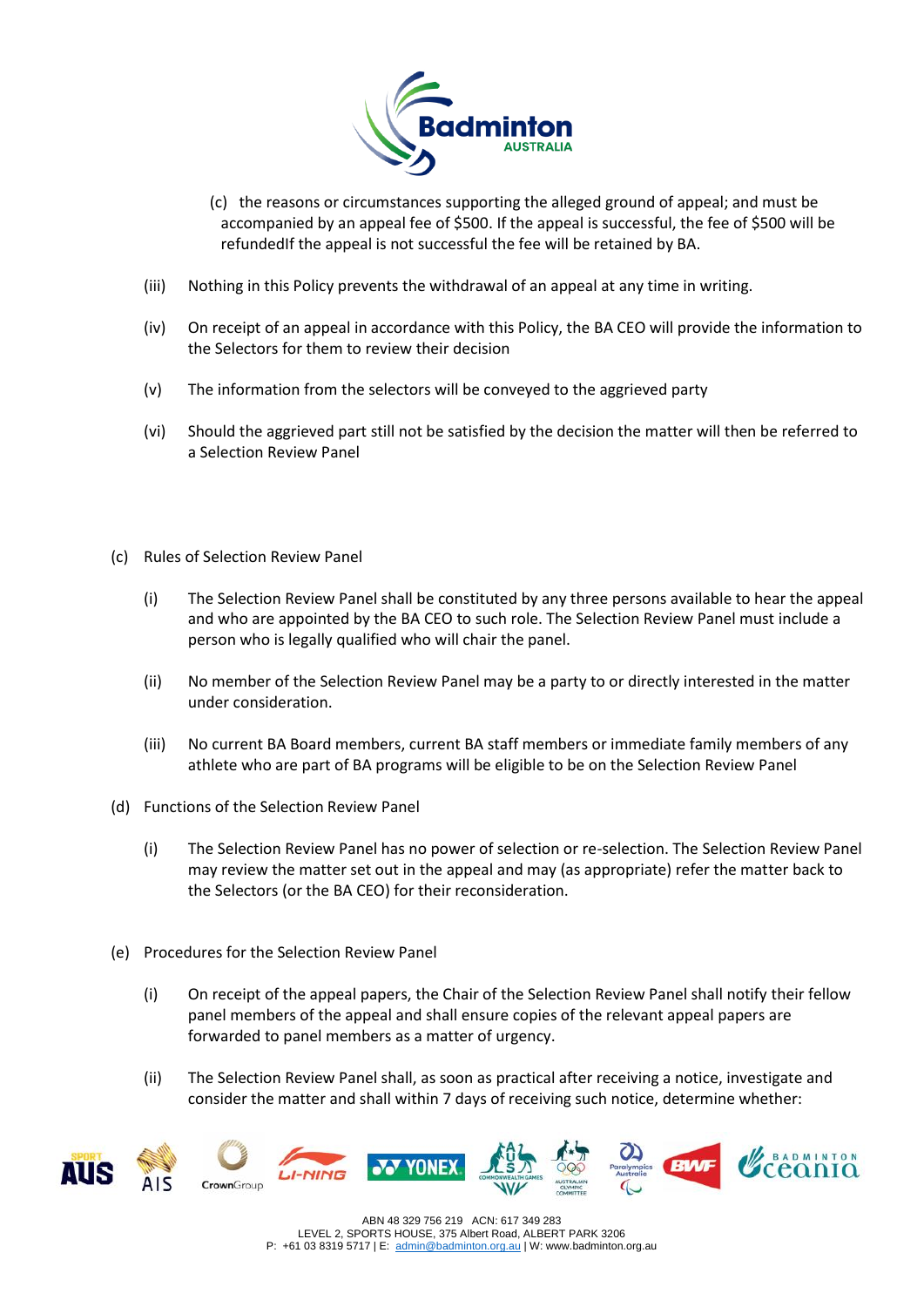

- (c) the reasons or circumstances supporting the alleged ground of appeal; and must be accompanied by an appeal fee of \$500. If the appeal is successful, the fee of \$500 will be refundedIf the appeal is not successful the fee will be retained by BA.
- (iii) Nothing in this Policy prevents the withdrawal of an appeal at any time in writing.
- (iv) On receipt of an appeal in accordance with this Policy, the BA CEO will provide the information to the Selectors for them to review their decision
- (v) The information from the selectors will be conveyed to the aggrieved party
- (vi) Should the aggrieved part still not be satisfied by the decision the matter will then be referred to a Selection Review Panel
- (c) Rules of Selection Review Panel
	- (i) The Selection Review Panel shall be constituted by any three persons available to hear the appeal and who are appointed by the BA CEO to such role. The Selection Review Panel must include a person who is legally qualified who will chair the panel.
	- (ii) No member of the Selection Review Panel may be a party to or directly interested in the matter under consideration.
	- (iii) No current BA Board members, current BA staff members or immediate family members of any athlete who are part of BA programs will be eligible to be on the Selection Review Panel
- (d) Functions of the Selection Review Panel
	- (i) The Selection Review Panel has no power of selection or re-selection. The Selection Review Panel may review the matter set out in the appeal and may (as appropriate) refer the matter back to the Selectors (or the BA CEO) for their reconsideration.
- (e) Procedures for the Selection Review Panel
	- (i) On receipt of the appeal papers, the Chair of the Selection Review Panel shall notify their fellow panel members of the appeal and shall ensure copies of the relevant appeal papers are forwarded to panel members as a matter of urgency.
	- (ii) The Selection Review Panel shall, as soon as practical after receiving a notice, investigate and consider the matter and shall within 7 days of receiving such notice, determine whether:



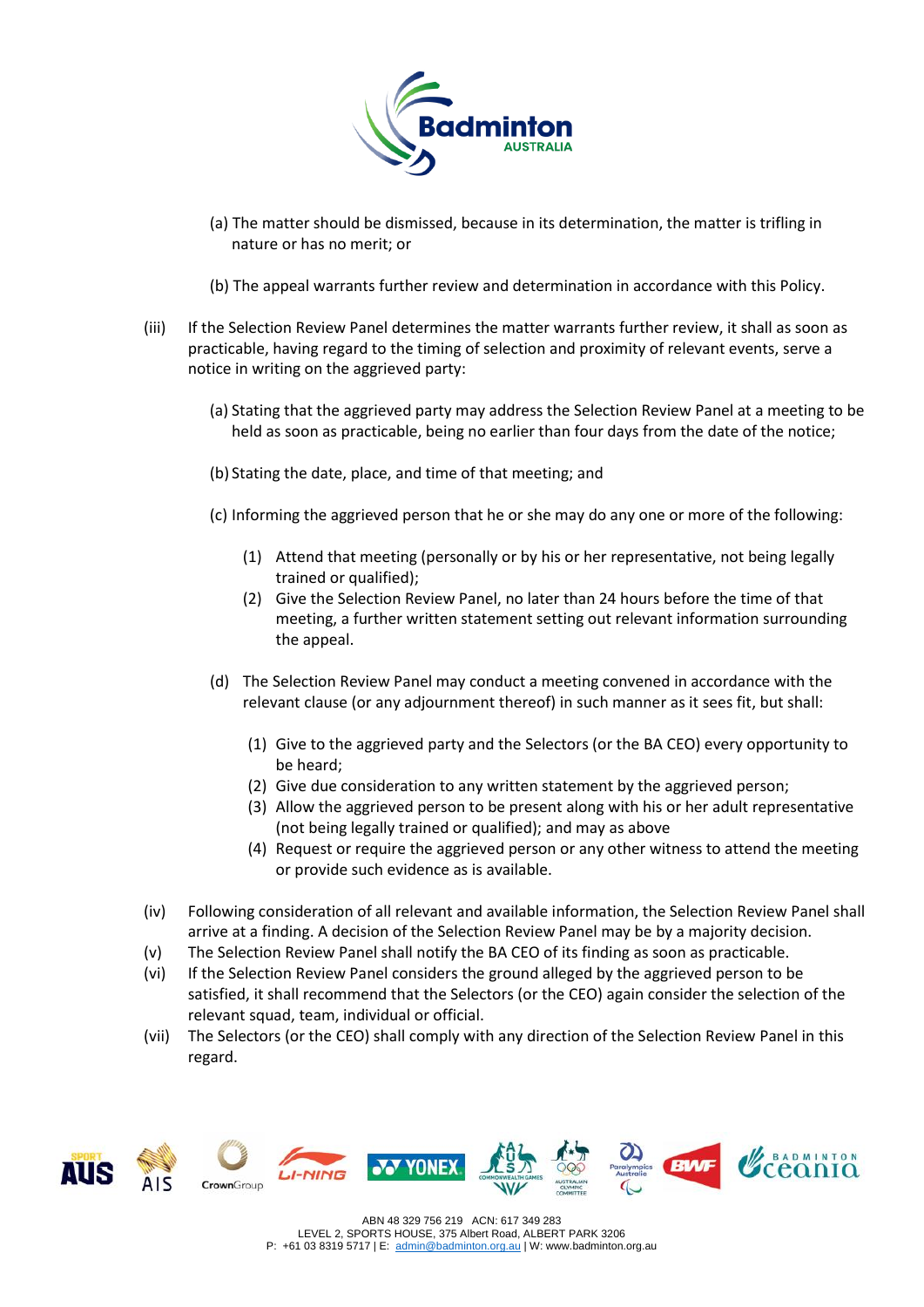

- (a) The matter should be dismissed, because in its determination, the matter is trifling in nature or has no merit; or
- (b) The appeal warrants further review and determination in accordance with this Policy.
- (iii) If the Selection Review Panel determines the matter warrants further review, it shall as soon as practicable, having regard to the timing of selection and proximity of relevant events, serve a notice in writing on the aggrieved party:
	- (a) Stating that the aggrieved party may address the Selection Review Panel at a meeting to be held as soon as practicable, being no earlier than four days from the date of the notice;
	- (b) Stating the date, place, and time of that meeting; and
	- (c) Informing the aggrieved person that he or she may do any one or more of the following:
		- (1) Attend that meeting (personally or by his or her representative, not being legally trained or qualified);
		- (2) Give the Selection Review Panel, no later than 24 hours before the time of that meeting, a further written statement setting out relevant information surrounding the appeal.
	- (d) The Selection Review Panel may conduct a meeting convened in accordance with the relevant clause (or any adjournment thereof) in such manner as it sees fit, but shall:
		- (1) Give to the aggrieved party and the Selectors (or the BA CEO) every opportunity to be heard;
		- (2) Give due consideration to any written statement by the aggrieved person;
		- (3) Allow the aggrieved person to be present along with his or her adult representative (not being legally trained or qualified); and may as above
		- (4) Request or require the aggrieved person or any other witness to attend the meeting or provide such evidence as is available.
- (iv) Following consideration of all relevant and available information, the Selection Review Panel shall arrive at a finding. A decision of the Selection Review Panel may be by a majority decision.
- (v) The Selection Review Panel shall notify the BA CEO of its finding as soon as practicable.
- (vi) If the Selection Review Panel considers the ground alleged by the aggrieved person to be satisfied, it shall recommend that the Selectors (or the CEO) again consider the selection of the relevant squad, team, individual or official.
- (vii) The Selectors (or the CEO) shall comply with any direction of the Selection Review Panel in this regard.